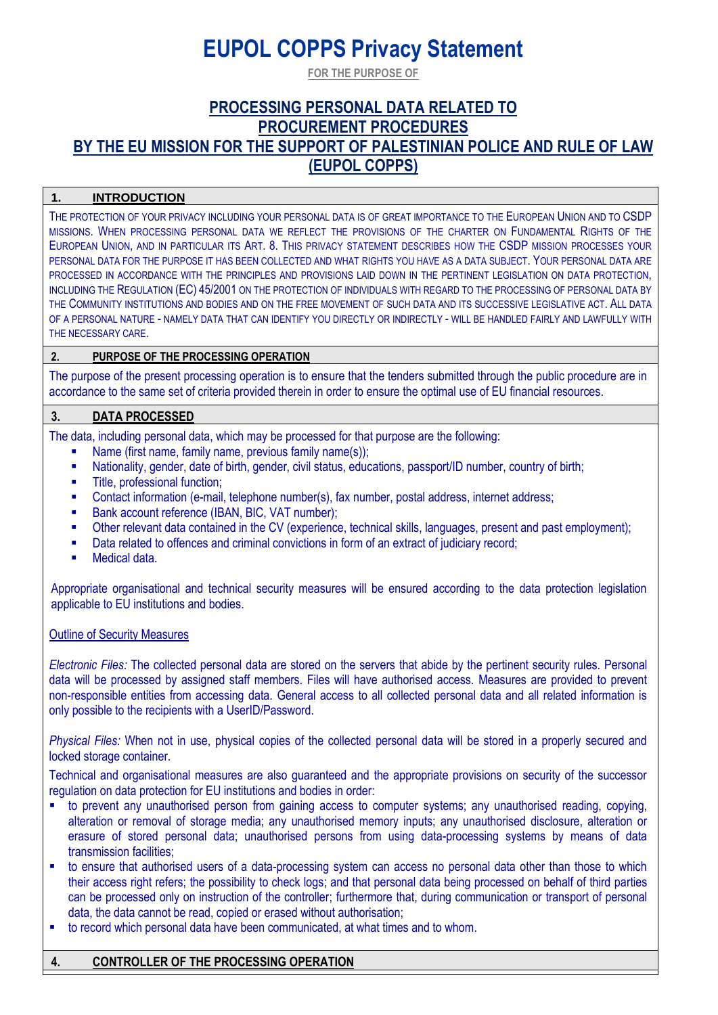# **EUPOL COPPS Privacy Statement**

**FOR THE PURPOSE OF**

# **PROCESSING PERSONAL DATA RELATED TO PROCUREMENT PROCEDURES BY THE EU MISSION FOR THE SUPPORT OF PALESTINIAN POLICE AND RULE OF LAW (EUPOL COPPS)**

#### **1. INTRODUCTION**

THE PROTECTION OF YOUR PRIVACY INCLUDING YOUR PERSONAL DATA IS OF GREAT IMPORTANCE TO THE EUROPEAN UNION AND TO CSDP MISSIONS. WHEN PROCESSING PERSONAL DATA WE REFLECT THE PROVISIONS OF THE CHARTER ON FUNDAMENTAL RIGHTS OF THE EUROPEAN UNION, AND IN PARTICULAR ITS ART. 8. THIS PRIVACY STATEMENT DESCRIBES HOW THE CSDP MISSION PROCESSES YOUR PERSONAL DATA FOR THE PURPOSE IT HAS BEEN COLLECTED AND WHAT RIGHTS YOU HAVE AS A DATA SUBJECT. YOUR PERSONAL DATA ARE PROCESSED IN ACCORDANCE WITH THE PRINCIPLES AND PROVISIONS LAID DOWN IN THE PERTINENT LEGISLATION ON DATA PROTECTION. INCLUDING THE REGULATION (EC) 45/2001 ON THE PROTECTION OF INDIVIDUALS WITH REGARD TO THE PROCESSING OF PERSONAL DATA BY THE COMMUNITY INSTITUTIONS AND BODIES AND ON THE FREE MOVEMENT OF SUCH DATA AND ITS SUCCESSIVE LEGISLATIVE ACT. ALL DATA OF A PERSONAL NATURE - NAMELY DATA THAT CAN IDENTIFY YOU DIRECTLY OR INDIRECTLY - WILL BE HANDLED FAIRLY AND LAWFULLY WITH THE NECESSARY CARE.

#### **2. PURPOSE OF THE PROCESSING OPERATION**

The purpose of the present processing operation is to ensure that the tenders submitted through the public procedure are in accordance to the same set of criteria provided therein in order to ensure the optimal use of EU financial resources.

#### **3. DATA PROCESSED**

The data, including personal data, which may be processed for that purpose are the following:

- Name (first name, family name, previous family name(s));
- Nationality, gender, date of birth, gender, civil status, educations, passport/ID number, country of birth;
- **■** Title, professional function:
- Contact information (e-mail, telephone number(s), fax number, postal address, internet address;
- Bank account reference (IBAN, BIC, VAT number);
- Other relevant data contained in the CV (experience, technical skills, languages, present and past employment);
- **■** Data related to offences and criminal convictions in form of an extract of judiciary record;
- Medical data.

Appropriate organisational and technical security measures will be ensured according to the data protection legislation applicable to EU institutions and bodies.

#### Outline of Security Measures

*Electronic Files:* The collected personal data are stored on the servers that abide by the pertinent security rules. Personal data will be processed by assigned staff members. Files will have authorised access. Measures are provided to prevent non-responsible entities from accessing data. General access to all collected personal data and all related information is only possible to the recipients with a UserID/Password.

*Physical Files:* When not in use, physical copies of the collected personal data will be stored in a properly secured and locked storage container.

Technical and organisational measures are also guaranteed and the appropriate provisions on security of the successor regulation on data protection for EU institutions and bodies in order:

- to prevent any unauthorised person from gaining access to computer systems; any unauthorised reading, copying, alteration or removal of storage media; any unauthorised memory inputs; any unauthorised disclosure, alteration or erasure of stored personal data; unauthorised persons from using data-processing systems by means of data transmission facilities;
- to ensure that authorised users of a data-processing system can access no personal data other than those to which their access right refers; the possibility to check logs; and that personal data being processed on behalf of third parties can be processed only on instruction of the controller; furthermore that, during communication or transport of personal data, the data cannot be read, copied or erased without authorisation;
- to record which personal data have been communicated, at what times and to whom.

#### **4. CONTROLLER OF THE PROCESSING OPERATION**